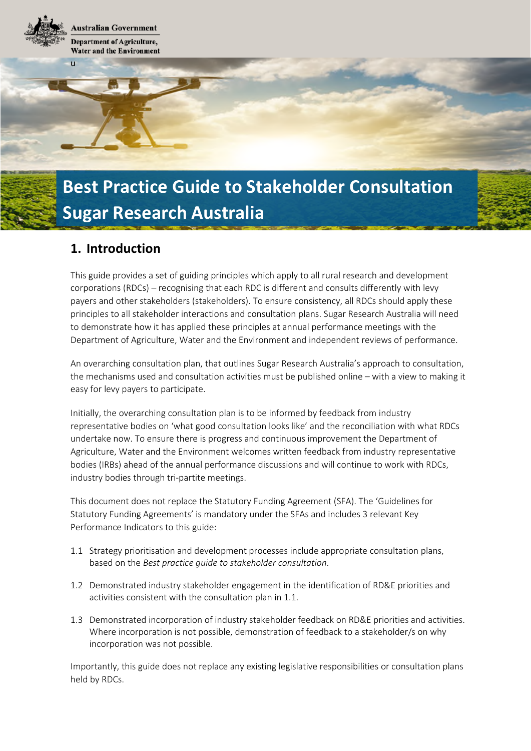**Australian Government Department of Agriculture, Water and the Environment** 

u

# **Best Practice Guide to Stakeholder Consultation Sugar Research Australia**

## **1. Introduction**

This guide provides a set of guiding principles which apply to all rural research and development corporations (RDCs) – recognising that each RDC is different and consults differently with levy payers and other stakeholders (stakeholders). To ensure consistency, all RDCs should apply these principles to all stakeholder interactions and consultation plans. Sugar Research Australia will need to demonstrate how it has applied these principles at annual performance meetings with the Department of Agriculture, Water and the Environment and independent reviews of performance.

An overarching consultation plan, that outlines Sugar Research Australia's approach to consultation, the mechanisms used and consultation activities must be published online – with a view to making it easy for levy payers to participate.

Initially, the overarching consultation plan is to be informed by feedback from industry representative bodies on 'what good consultation looks like' and the reconciliation with what RDCs undertake now. To ensure there is progress and continuous improvement the Department of Agriculture, Water and the Environment welcomes written feedback from industry representative bodies (IRBs) ahead of the annual performance discussions and will continue to work with RDCs, industry bodies through tri-partite meetings.

This document does not replace the Statutory Funding Agreement (SFA). The 'Guidelines for Statutory Funding Agreements' is mandatory under the SFAs and includes 3 relevant Key Performance Indicators to this guide:

- 1.1 Strategy prioritisation and development processes include appropriate consultation plans, based on the *Best practice guide to stakeholder consultation*.
- 1.2 Demonstrated industry stakeholder engagement in the identification of RD&E priorities and activities consistent with the consultation plan in 1.1.
- 1.3 Demonstrated incorporation of industry stakeholder feedback on RD&E priorities and activities. Where incorporation is not possible, demonstration of feedback to a stakeholder/s on why incorporation was not possible.

Importantly, this guide does not replace any existing legislative responsibilities or consultation plans held by RDCs.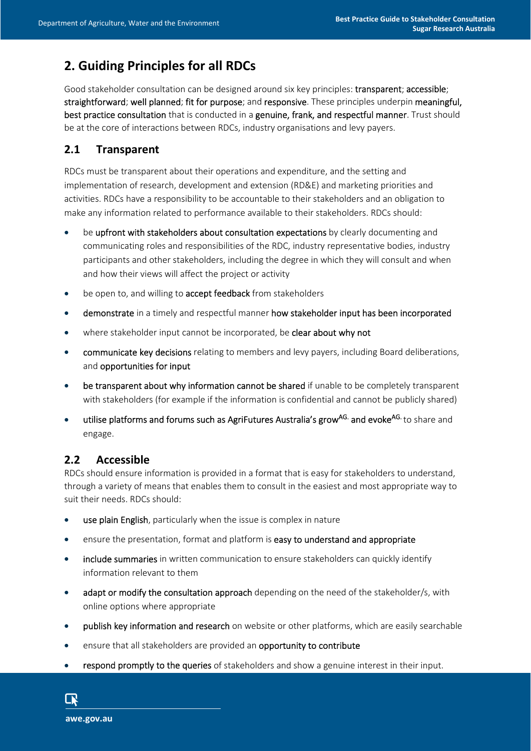# **2. Guiding Principles for all RDCs**

Good stakeholder consultation can be designed around six key principles: transparent; accessible; straightforward; well planned; fit for purpose; and responsive. These principles underpin meaningful, best practice consultation that is conducted in a genuine, frank, and respectful manner. Trust should be at the core of interactions between RDCs, industry organisations and levy payers.

### **2.1 Transparent**

RDCs must be transparent about their operations and expenditure, and the setting and implementation of research, development and extension (RD&E) and marketing priorities and activities. RDCs have a responsibility to be accountable to their stakeholders and an obligation to make any information related to performance available to their stakeholders. RDCs should:

- be upfront with stakeholders about consultation expectations by clearly documenting and communicating roles and responsibilities of the RDC, industry representative bodies, industry participants and other stakeholders, including the degree in which they will consult and when and how their views will affect the project or activity
- be open to, and willing to **accept feedback** from stakeholders
- demonstrate in a timely and respectful manner how stakeholder input has been incorporated
- where stakeholder input cannot be incorporated, be clear about why not
- communicate key decisions relating to members and levy payers, including Board deliberations, and opportunities for input
- be transparent about why information cannot be shared if unable to be completely transparent with stakeholders (for example if the information is confidential and cannot be publicly shared)
- utilise platforms and forums such as AgriFutures Australia's grow<sup>AG.</sup> and evoke<sup>AG.</sup> to share and engage.

## **2.2 Accessible**

RDCs should ensure information is provided in a format that is easy for stakeholders to understand, through a variety of means that enables them to consult in the easiest and most appropriate way to suit their needs. RDCs should:

- **use plain English**, particularly when the issue is complex in nature
- ensure the presentation, format and platform is easy to understand and appropriate
- include summaries in written communication to ensure stakeholders can quickly identify information relevant to them
- adapt or modify the consultation approach depending on the need of the stakeholder/s, with online options where appropriate
- **•** publish key information and research on website or other platforms, which are easily searchable
- **e** ensure that all stakeholders are provided an **opportunity to contribute**
- respond promptly to the queries of stakeholders and show a genuine interest in their input.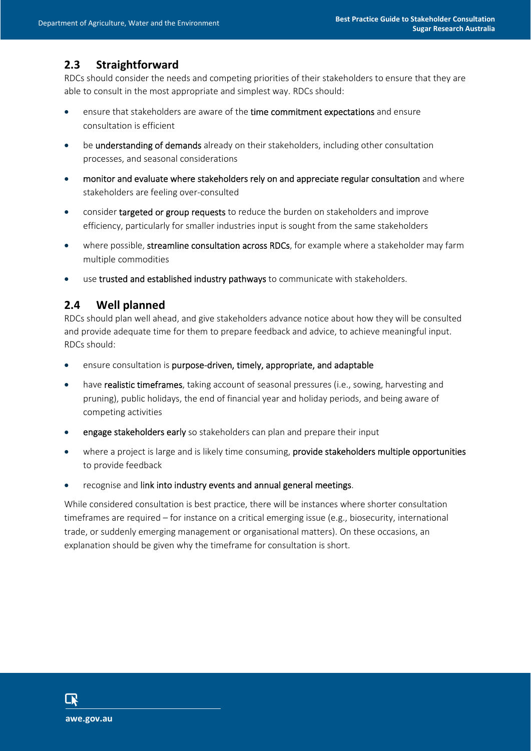## **2.3 Straightforward**

RDCs should consider the needs and competing priorities of their stakeholders to ensure that they are able to consult in the most appropriate and simplest way. RDCs should:

- ensure that stakeholders are aware of the time commitment expectations and ensure consultation is efficient
- **•** be understanding of demands already on their stakeholders, including other consultation processes, and seasonal considerations
- monitor and evaluate where stakeholders rely on and appreciate regular consultation and where stakeholders are feeling over-consulted
- consider targeted or group requests to reduce the burden on stakeholders and improve efficiency, particularly for smaller industries input is sought from the same stakeholders
- where possible, streamline consultation across RDCs, for example where a stakeholder may farm multiple commodities
- use trusted and established industry pathways to communicate with stakeholders.

#### **2.4 Well planned**

RDCs should plan well ahead, and give stakeholders advance notice about how they will be consulted and provide adequate time for them to prepare feedback and advice, to achieve meaningful input. RDCs should:

- ensure consultation is purpose-driven, timely, appropriate, and adaptable
- have realistic timeframes, taking account of seasonal pressures (i.e., sowing, harvesting and pruning), public holidays, the end of financial year and holiday periods, and being aware of competing activities
- **e** engage stakeholders early so stakeholders can plan and prepare their input
- where a project is large and is likely time consuming, provide stakeholders multiple opportunities to provide feedback
- recognise and link into industry events and annual general meetings.

While considered consultation is best practice, there will be instances where shorter consultation timeframes are required – for instance on a critical emerging issue (e.g., biosecurity, international trade, or suddenly emerging management or organisational matters). On these occasions, an explanation should be given why the timeframe for consultation is short.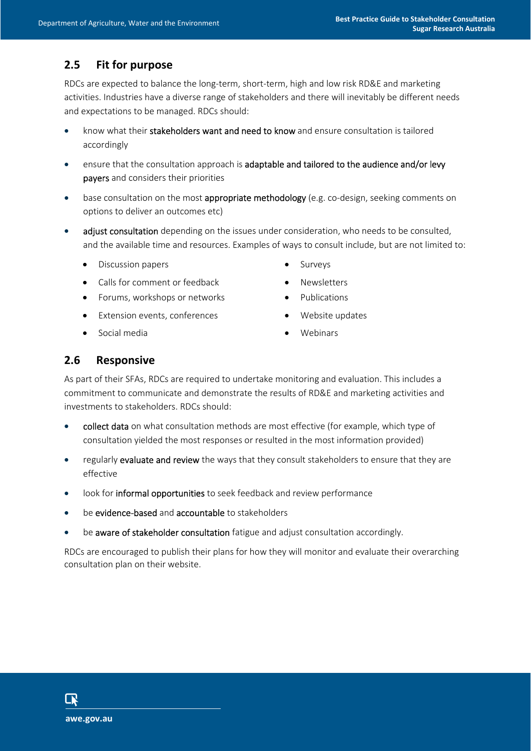## **2.5 Fit for purpose**

RDCs are expected to balance the long-term, short-term, high and low risk RD&E and marketing activities. Industries have a diverse range of stakeholders and there will inevitably be different needs and expectations to be managed. RDCs should:

- know what their stakeholders want and need to know and ensure consultation is tailored accordingly
- ensure that the consultation approach is adaptable and tailored to the audience and/or levy payers and considers their priorities
- base consultation on the most appropriate methodology (e.g. co-design, seeking comments on options to deliver an outcomes etc)
- adjust consultation depending on the issues under consideration, who needs to be consulted, and the available time and resources. Examples of ways to consult include, but are not limited to:
	- Discussion papers Surveys
	- Calls for comment or feedback Newsletters
	- Forums, workshops or networks **•** Publications
	- Extension events, conferences Nebsite updates
	- Social media **No. 1988** Webinars
- 
- 
- 
- -

#### **2.6 Responsive**

As part of their SFAs, RDCs are required to undertake monitoring and evaluation. This includes a commitment to communicate and demonstrate the results of RD&E and marketing activities and investments to stakeholders. RDCs should:

- collect data on what consultation methods are most effective (for example, which type of consultation yielded the most responses or resulted in the most information provided)
- regularly evaluate and review the ways that they consult stakeholders to ensure that they are effective
- look for informal opportunities to seek feedback and review performance
- be evidence-based and accountable to stakeholders
- be aware of stakeholder consultation fatigue and adjust consultation accordingly.

RDCs are encouraged to publish their plans for how they will monitor and evaluate their overarching consultation plan on their website.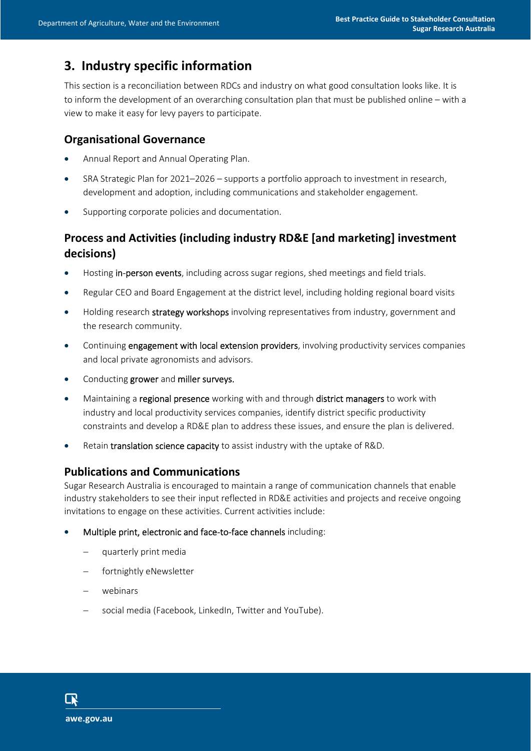# **3. Industry specific information**

This section is a reconciliation between RDCs and industry on what good consultation looks like. It is to inform the development of an overarching consultation plan that must be published online – with a view to make it easy for levy payers to participate.

#### **Organisational Governance**

- Annual Report and Annual Operating Plan.
- SRA Strategic Plan for 2021–2026 supports a portfolio approach to investment in research, development and adoption, including communications and stakeholder engagement.
- Supporting corporate policies and documentation.

## **Process and Activities (including industry RD&E [and marketing] investment decisions)**

- Hosting in-person events, including across sugar regions, shed meetings and field trials.
- Regular CEO and Board Engagement at the district level, including holding regional board visits
- Holding research strategy workshops involving representatives from industry, government and the research community.
- Continuing engagement with local extension providers, involving productivity services companies and local private agronomists and advisors.
- Conducting grower and miller surveys.
- Maintaining a regional presence working with and through district managers to work with industry and local productivity services companies, identify district specific productivity constraints and develop a RD&E plan to address these issues, and ensure the plan is delivered.
- Retain translation science capacity to assist industry with the uptake of R&D.

#### **Publications and Communications**

Sugar Research Australia is encouraged to maintain a range of communication channels that enable industry stakeholders to see their input reflected in RD&E activities and projects and receive ongoing invitations to engage on these activities. Current activities include:

- Multiple print, electronic and face-to-face channels including:
	- quarterly print media
	- fortnightly eNewsletter
	- webinars
	- social media (Facebook, LinkedIn, Twitter and YouTube).